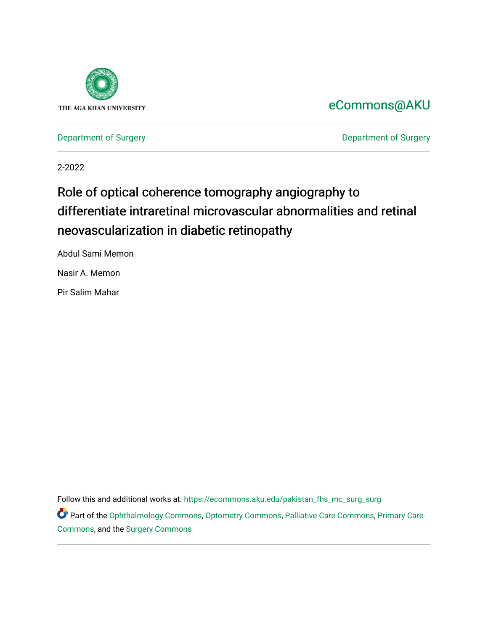

# [eCommons@AKU](https://ecommons.aku.edu/)

[Department of Surgery](https://ecommons.aku.edu/pakistan_fhs_mc_surg) **Department of Surgery** 

2-2022

# Role of optical coherence tomography angiography to differentiate intraretinal microvascular abnormalities and retinal neovascularization in diabetic retinopathy

Abdul Sami Memon

Nasir A. Memon

Pir Salim Mahar

Follow this and additional works at: [https://ecommons.aku.edu/pakistan\\_fhs\\_mc\\_surg\\_surg](https://ecommons.aku.edu/pakistan_fhs_mc_surg_surg?utm_source=ecommons.aku.edu%2Fpakistan_fhs_mc_surg_surg%2F886&utm_medium=PDF&utm_campaign=PDFCoverPages) 

Part of the [Ophthalmology Commons](http://network.bepress.com/hgg/discipline/695?utm_source=ecommons.aku.edu%2Fpakistan_fhs_mc_surg_surg%2F886&utm_medium=PDF&utm_campaign=PDFCoverPages), [Optometry Commons](http://network.bepress.com/hgg/discipline/730?utm_source=ecommons.aku.edu%2Fpakistan_fhs_mc_surg_surg%2F886&utm_medium=PDF&utm_campaign=PDFCoverPages), [Palliative Care Commons,](http://network.bepress.com/hgg/discipline/1265?utm_source=ecommons.aku.edu%2Fpakistan_fhs_mc_surg_surg%2F886&utm_medium=PDF&utm_campaign=PDFCoverPages) Primary Care [Commons](http://network.bepress.com/hgg/discipline/1092?utm_source=ecommons.aku.edu%2Fpakistan_fhs_mc_surg_surg%2F886&utm_medium=PDF&utm_campaign=PDFCoverPages), and the [Surgery Commons](http://network.bepress.com/hgg/discipline/706?utm_source=ecommons.aku.edu%2Fpakistan_fhs_mc_surg_surg%2F886&utm_medium=PDF&utm_campaign=PDFCoverPages)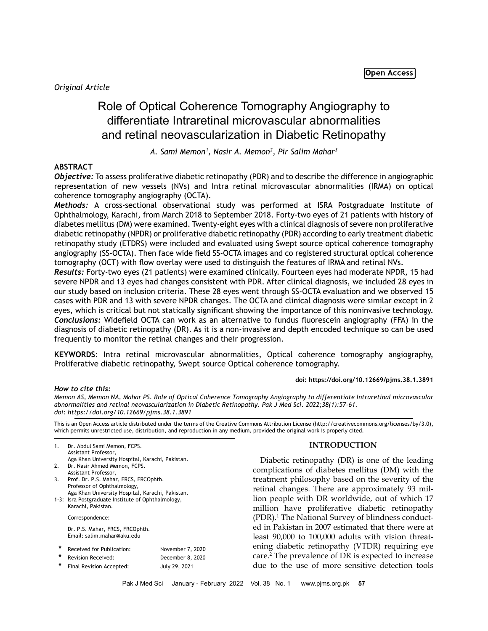*Original Article*

# Role of Optical Coherence Tomography Angiography to differentiate Intraretinal microvascular abnormalities and retinal neovascularization in Diabetic Retinopathy

*A. Sami Memon1 , Nasir A. Memon2 , Pir Salim Mahar3*

# **ABSTRACT**

*Objective:* To assess proliferative diabetic retinopathy (PDR) and to describe the difference in angiographic representation of new vessels (NVs) and Intra retinal microvascular abnormalities (IRMA) on optical coherence tomography angiography (OCTA).

*Methods:* A cross-sectional observational study was performed at ISRA Postgraduate Institute of Ophthalmology, Karachi, from March 2018 to September 2018. Forty-two eyes of 21 patients with history of diabetes mellitus (DM) were examined. Twenty-eight eyes with a clinical diagnosis of severe non proliferative diabetic retinopathy (NPDR) or proliferative diabetic retinopathy (PDR) according to early treatment diabetic retinopathy study (ETDRS) were included and evaluated using Swept source optical coherence tomography angiography (SS-OCTA). Then face wide field SS-OCTA images and co registered structural optical coherence tomography (OCT) with flow overlay were used to distinguish the features of IRMA and retinal NVs.

*Results:* Forty-two eyes (21 patients) were examined clinically. Fourteen eyes had moderate NPDR, 15 had severe NPDR and 13 eyes had changes consistent with PDR. After clinical diagnosis, we included 28 eyes in our study based on inclusion criteria. These 28 eyes went through SS-OCTA evaluation and we observed 15 cases with PDR and 13 with severe NPDR changes. The OCTA and clinical diagnosis were similar except in 2 eyes, which is critical but not statically significant showing the importance of this noninvasive technology. *Conclusions:* Widefield OCTA can work as an alternative to fundus fluorescein angiography (FFA) in the diagnosis of diabetic retinopathy (DR). As it is a non-invasive and depth encoded technique so can be used frequently to monitor the retinal changes and their progression.

**KEYWORDS**: Intra retinal microvascular abnormalities, Optical coherence tomography angiography, Proliferative diabetic retinopathy, Swept source Optical coherence tomography.

#### **doi: https://doi.org/10.12669/pjms.38.1.3891**

*How to cite this:*

*Memon AS, Memon NA, Mahar PS. Role of Optical Coherence Tomography Angiography to differentiate Intraretinal microvascular abnormalities and retinal neovascularization in Diabetic Retinopathy. Pak J Med Sci. 2022;38(1):57-61. doi: https://doi.org/10.12669/pjms.38.1.3891*

This is an Open Access article distributed under the terms of the Creative Commons Attribution License (http://creativecommons.org/licenses/by/3.0), which permits unrestricted use, distribution, and reproduction in any medium, provided the original work is properly cited.

| 1.     | Dr. Abdul Sami Memon, FCPS.<br>Assistant Professor,                             |                  |
|--------|---------------------------------------------------------------------------------|------------------|
|        | Aga Khan University Hospital, Karachi, Pakistan.                                |                  |
| 2.     | Dr. Nasir Ahmed Memon, FCPS.                                                    |                  |
|        | Assistant Professor.                                                            |                  |
| 3.     | Prof. Dr. P.S. Mahar, FRCS, FRCOphth.                                           |                  |
|        | Professor of Ophthalmology,<br>Aga Khan University Hospital, Karachi, Pakistan. |                  |
|        | 1-3: Isra Postgraduate Institute of Ophthalmology,                              |                  |
|        | Karachi, Pakistan.                                                              |                  |
|        | Correspondence:                                                                 |                  |
|        | Dr. P.S. Mahar, FRCS, FRCOphth.<br>Email: salim.mahar@aku.edu                   |                  |
| $\ast$ | Received for Publication:                                                       | November 7, 2020 |
| $\ast$ | Revision Received:                                                              | December 8, 2020 |
| $\ast$ | Final Revision Accepted:                                                        | July 29, 2021    |
|        |                                                                                 |                  |

# **INTRODUCTION**

Diabetic retinopathy (DR) is one of the leading complications of diabetes mellitus (DM) with the treatment philosophy based on the severity of the retinal changes. There are approximately 93 million people with DR worldwide, out of which 17 million have proliferative diabetic retinopathy (PDR).1 The National Survey of blindness conducted in Pakistan in 2007 estimated that there were at least 90,000 to 100,000 adults with vision threatening diabetic retinopathy (VTDR) requiring eye care.2 The prevalence of DR is expected to increase due to the use of more sensitive detection tools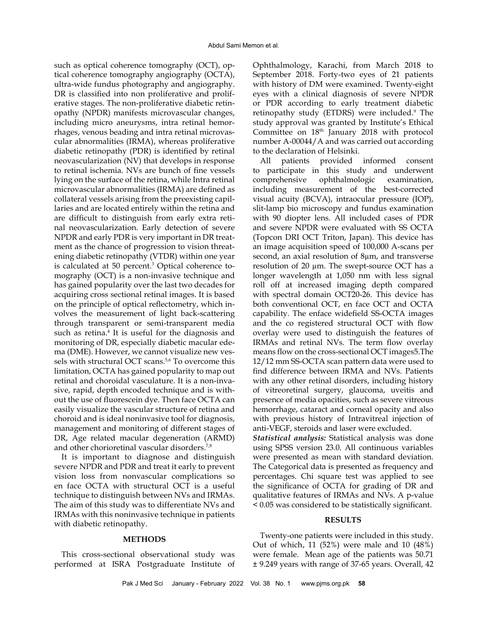such as optical coherence tomography (OCT), optical coherence tomography angiography (OCTA), ultra-wide fundus photography and angiography. DR is classified into non proliferative and proliferative stages. The non-proliferative diabetic retinopathy (NPDR) manifests microvascular changes, including micro aneurysms, intra retinal hemorrhages, venous beading and intra retinal microvascular abnormalities (IRMA), whereas proliferative diabetic retinopathy (PDR) is identified by retinal neovascularization (NV) that develops in response to retinal ischemia. NVs are bunch of fine vessels lying on the surface of the retina, while Intra retinal microvascular abnormalities (IRMA) are defined as collateral vessels arising from the preexisting capillaries and are located entirely within the retina and are difficult to distinguish from early extra retinal neovascularization. Early detection of severe NPDR and early PDR is very important in DR treatment as the chance of progression to vision threatening diabetic retinopathy (VTDR) within one year is calculated at 50 percent.<sup>3</sup> Optical coherence tomography (OCT) is a non-invasive technique and has gained popularity over the last two decades for acquiring cross sectional retinal images. It is based on the principle of optical reflectometry, which involves the measurement of light back-scattering through transparent or semi-transparent media such as retina.<sup>4</sup> It is useful for the diagnosis and monitoring of DR, especially diabetic macular edema (DME). However, we cannot visualize new vessels with structural OCT scans.<sup>5,6</sup> To overcome this limitation, OCTA has gained popularity to map out retinal and choroidal vasculature. It is a non-invasive, rapid, depth encoded technique and is without the use of fluorescein dye. Then face OCTA can easily visualize the vascular structure of retina and choroid and is ideal noninvasive tool for diagnosis, management and monitoring of different stages of DR, Age related macular degeneration (ARMD) and other chorioretinal vascular disorders.<sup>7,8</sup>

It is important to diagnose and distinguish severe NPDR and PDR and treat it early to prevent vision loss from nonvascular complications so en face OCTA with structural OCT is a useful technique to distinguish between NVs and IRMAs. The aim of this study was to differentiate NVs and IRMAs with this noninvasive technique in patients with diabetic retinopathy.

#### **METHODS**

This cross-sectional observational study was performed at ISRA Postgraduate Institute of

Ophthalmology, Karachi, from March 2018 to September 2018. Forty-two eyes of 21 patients with history of DM were examined. Twenty-eight eyes with a clinical diagnosis of severe NPDR or PDR according to early treatment diabetic retinopathy study (ETDRS) were included.9 The study approval was granted by Institute's Ethical Committee on 18<sup>th</sup> January 2018 with protocol number A-00044/A and was carried out according to the declaration of Helsinki.

All patients provided informed consent to participate in this study and underwent comprehensive ophthalmologic examination, including measurement of the best-corrected visual acuity (BCVA), intraocular pressure (IOP), slit-lamp bio microscopy and fundus examination with 90 diopter lens. All included cases of PDR and severe NPDR were evaluated with SS OCTA (Topcon DRI OCT Triton, Japan). This device has an image acquisition speed of 100,000 A-scans per second, an axial resolution of 8µm, and transverse resolution of 20 µm. The swept-source OCT has a longer wavelength at 1,050 nm with less signal roll off at increased imaging depth compared with spectral domain OCT20-26. This device has both conventional OCT, en face OCT and OCTA capability. The enface widefield SS-OCTA images and the co registered structural OCT with flow overlay were used to distinguish the features of IRMAs and retinal NVs. The term flow overlay means flow on the cross-sectional OCT images5.The 12/12 mm SS-OCTA scan pattern data were used to find difference between IRMA and NVs. Patients with any other retinal disorders, including history of vitreoretinal surgery, glaucoma, uveitis and presence of media opacities, such as severe vitreous hemorrhage, cataract and corneal opacity and also with previous history of Intravitreal injection of anti-VEGF, steroids and laser were excluded.

*Statistical analysis:* Statistical analysis was done using SPSS version 23.0. All continuous variables were presented as mean with standard deviation. The Categorical data is presented as frequency and percentages. Chi square test was applied to see the significance of OCTA for grading of DR and qualitative features of IRMAs and NVs. A p-value < 0.05 was considered to be statistically significant.

#### **RESULTS**

Twenty-one patients were included in this study. Out of which, 11 (52%) were male and 10 (48%) were female. Mean age of the patients was 50.71 ± 9.249 years with range of 37-65 years. Overall, 42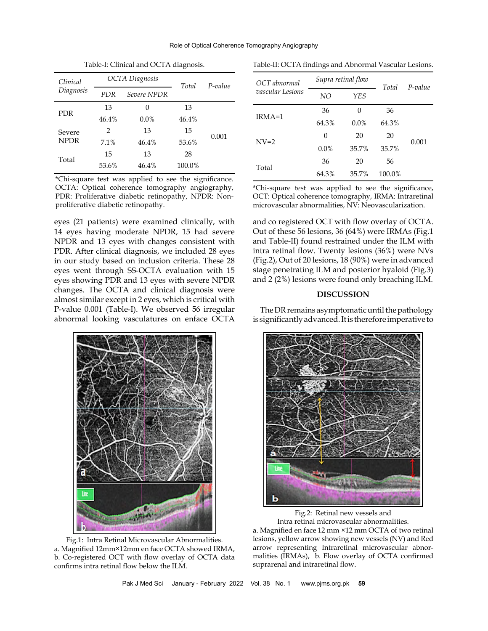Role of Optical Coherence Tomography Angiography

| Clinical    | <b>OCTA</b> Diagnosis |             | Total  | P-value |
|-------------|-----------------------|-------------|--------|---------|
| Diagnosis   | <b>PDR</b>            | Severe NPDR |        |         |
| <b>PDR</b>  | 13                    | 0           | 13     |         |
|             | 46.4%                 | 0.0%        | 46.4%  |         |
| Severe      | 2                     | 13          | 15     | 0.001   |
| <b>NPDR</b> | 7.1%                  | 46.4%       | 53.6%  |         |
| Total       | 15                    | 13          | 28     |         |
|             | 53.6%                 | 46.4%       | 100.0% |         |
|             |                       |             |        |         |

Table-I: Clinical and OCTA diagnosis.

\*Chi-square test was applied to see the significance. OCTA: Optical coherence tomography angiography, PDR: Proliferative diabetic retinopathy, NPDR: Nonproliferative diabetic retinopathy.

eyes (21 patients) were examined clinically, with 14 eyes having moderate NPDR, 15 had severe NPDR and 13 eyes with changes consistent with PDR. After clinical diagnosis, we included 28 eyes in our study based on inclusion criteria. These 28 eyes went through SS-OCTA evaluation with 15 eyes showing PDR and 13 eyes with severe NPDR changes. The OCTA and clinical diagnosis were almost similar except in 2 eyes, which is critical with P-value 0.001 (Table-I). We observed 56 irregular abnormal looking vasculatures on enface OCTA



Fig.1: Intra Retinal Microvascular Abnormalities. a. Magnified 12mm×12mm en face OCTA showed IRMA, b. Co-registered OCT with flow overlay of OCTA data confirms intra retinal flow below the ILM.

|  | Table-II: OCTA findings and Abnormal Vascular Lesions. |  |  |  |  |
|--|--------------------------------------------------------|--|--|--|--|
|--|--------------------------------------------------------|--|--|--|--|

| OCT abnormal     | Supra retinal flow |         | Total  | $P-value$ |
|------------------|--------------------|---------|--------|-----------|
| vascular Lesions | NO.                | YES     |        |           |
| $IRMA=1$         | 36                 | 0       | 36     |           |
|                  | 64.3%              | $0.0\%$ | 64.3%  |           |
| $N_{V=2}$        | 0                  | 20      | 20     | 0.001     |
|                  | $0.0\%$            | 35.7%   | 35.7%  |           |
| Total            | 36                 | 20      | 56     |           |
|                  | 64.3%              | 35.7%   | 100.0% |           |

\*Chi-square test was applied to see the significance, OCT: Optical coherence tomography, IRMA: Intraretinal microvascular abnormalities, NV: Neovascularization.

and co registered OCT with flow overlay of OCTA. Out of these 56 lesions, 36 (64%) were IRMAs (Fig.1 and Table-II) found restrained under the ILM with intra retinal flow. Twenty lesions (36%) were NVs (Fig.2), Out of 20 lesions, 18 (90%) were in advanced stage penetrating ILM and posterior hyaloid (Fig.3) and 2 (2%) lesions were found only breaching ILM.

### **DISCUSSION**

The DR remains asymptomatic until the pathology is significantly advanced. It is therefore imperative to



Fig.2: Retinal new vessels and Intra retinal microvascular abnormalities.

a. Magnified en face 12 mm ×12 mm OCTA of two retinal lesions, yellow arrow showing new vessels (NV) and Red arrow representing Intraretinal microvascular abnormalities (IRMAs), b. Flow overlay of OCTA confirmed suprarenal and intraretinal flow.

Pak J Med Sci January - February 2022 Vol. 38 No. 1 www.pjms.org.pk **59**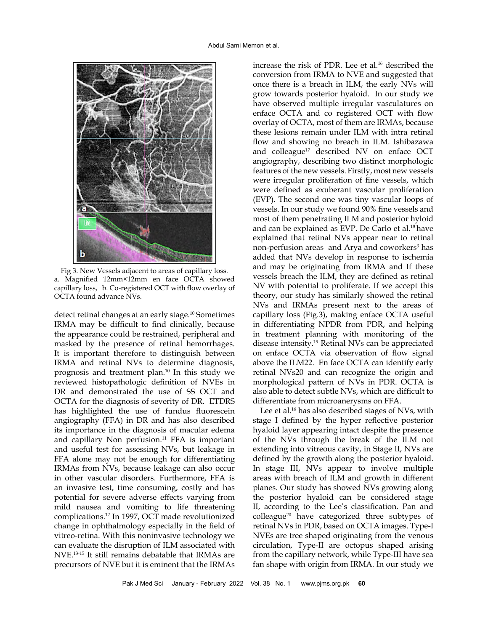

Fig 3. New Vessels adjacent to areas of capillary loss. a. Magnified 12mm×12mm en face OCTA showed capillary loss, b. Co-registered OCT with flow overlay of OCTA found advance NVs.

detect retinal changes at an early stage.10 Sometimes IRMA may be difficult to find clinically, because the appearance could be restrained, peripheral and masked by the presence of retinal hemorrhages. It is important therefore to distinguish between IRMA and retinal NVs to determine diagnosis, prognosis and treatment plan.10 In this study we reviewed histopathologic definition of NVEs in DR and demonstrated the use of SS OCT and OCTA for the diagnosis of severity of DR. ETDRS has highlighted the use of fundus fluorescein angiography (FFA) in DR and has also described its importance in the diagnosis of macular edema and capillary Non perfusion. $11$  FFA is important and useful test for assessing NVs, but leakage in FFA alone may not be enough for differentiating IRMAs from NVs, because leakage can also occur in other vascular disorders. Furthermore, FFA is an invasive test, time consuming, costly and has potential for severe adverse effects varying from mild nausea and vomiting to life threatening complications.12 In 1997, OCT made revolutionized change in ophthalmology especially in the field of vitreo-retina. With this noninvasive technology we can evaluate the disruption of ILM associated with NVE.13-15 It still remains debatable that IRMAs are precursors of NVE but it is eminent that the IRMAs

increase the risk of PDR. Lee et al.<sup>16</sup> described the conversion from IRMA to NVE and suggested that once there is a breach in ILM, the early NVs will grow towards posterior hyaloid. In our study we have observed multiple irregular vasculatures on enface OCTA and co registered OCT with flow overlay of OCTA, most of them are IRMAs, because these lesions remain under ILM with intra retinal flow and showing no breach in ILM. Ishibazawa and colleague<sup>17</sup> described NV on enface OCT angiography, describing two distinct morphologic features of the new vessels. Firstly, most new vessels were irregular proliferation of fine vessels, which were defined as exuberant vascular proliferation (EVP). The second one was tiny vascular loops of vessels. In our study we found 90% fine vessels and most of them penetrating ILM and posterior hyloid and can be explained as EVP. De Carlo et al.18 have explained that retinal NVs appear near to retinal non-perfusion areas and [Arya](https://www.ncbi.nlm.nih.gov/pubmed/?term=Arya%20M%5BAuthor%5D&cauthor=true&cauthor_uid=31613839) and coworkers<sup>3</sup> has added that NVs develop in response to ischemia and may be originating from IRMA and If these vessels breach the ILM, they are defined as retinal NV with potential to proliferate. If we accept this theory, our study has similarly showed the retinal NVs and IRMAs present next to the areas of capillary loss (Fig.3), making enface OCTA useful in differentiating NPDR from PDR, and helping in treatment planning with monitoring of the disease intensity.19 Retinal NVs can be appreciated on enface OCTA via observation of flow signal above the ILM22. En face OCTA can identify early retinal NVs20 and can recognize the origin and morphological pattern of NVs in PDR. OCTA is also able to detect subtle NVs, which are difficult to differentiate from microanerysms on FFA.

Lee et al.<sup>16</sup> has also described stages of NVs, with stage I defined by the hyper reflective posterior hyaloid layer appearing intact despite the presence of the NVs through the break of the ILM not extending into vitreous cavity, in Stage II, NVs are defined by the growth along the posterior hyaloid. In stage III, NVs appear to involve multiple areas with breach of ILM and growth in different planes. Our study has showed NVs growing along the posterior hyaloid can be considered stage II, according to the Lee's classification. Pan and colleague20 have categorized three subtypes of retinal NVs in PDR, based on OCTA images. Type-I NVEs are tree shaped originating from the venous circulation, Type-II are octopus shaped arising from the capillary network, while Type-III have sea fan shape with origin from IRMA. In our study we